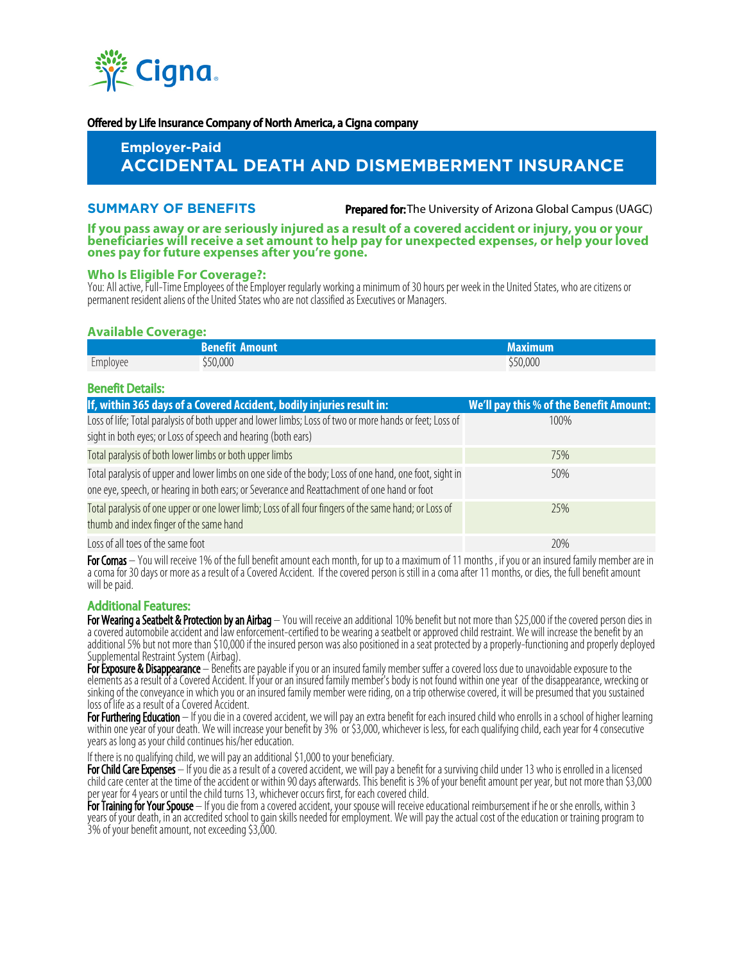

#### Offered by Life Insurance Company of North America, a Cigna company

# **Employer-Paid ACCIDENTAL DEATH AND DISMEMBERMENT INSURANCE**

# **SUMMARY OF BENEFITS**

**Prepared for:** The University of Arizona Global Campus (UAGC)

**If you pass away or are seriously injured as a result of a covered accident or injury, you or your beneficiaries will receive a set amount to help pay for unexpected expenses, or help your loved ones pay for future expenses after you're gone.**

# **Who Is Eligible For Coverage?:**

You: All active, Full-Time Employees of the Employer regularly working a minimum of 30 hours per week in the United States, who are citizens or permanent resident aliens of the United States who are not classified as Executives or Managers.

# **Available Coverage:**

|                 | <b>Benefit Amount</b> | Maximum  |
|-----------------|-----------------------|----------|
| $-$<br>Employee | 50,000                | \$50,000 |

#### Benefit Details:

| If, within 365 days of a Covered Accident, bodily injuries result in:                                                                                                                                 | We'll pay this % of the Benefit Amount: |
|-------------------------------------------------------------------------------------------------------------------------------------------------------------------------------------------------------|-----------------------------------------|
| Loss of life; Total paralysis of both upper and lower limbs; Loss of two or more hands or feet; Loss of                                                                                               | 100%                                    |
| sight in both eyes; or Loss of speech and hearing (both ears)                                                                                                                                         |                                         |
| Total paralysis of both lower limbs or both upper limbs                                                                                                                                               | 75%                                     |
| Total paralysis of upper and lower limbs on one side of the body; Loss of one hand, one foot, sight in<br>one eye, speech, or hearing in both ears; or Severance and Reattachment of one hand or foot | 50%                                     |
| Total paralysis of one upper or one lower limb; Loss of all four fingers of the same hand; or Loss of<br>thumb and index finger of the same hand                                                      | 25%                                     |
| Loss of all toes of the same foot                                                                                                                                                                     | 20%                                     |

For Comas – You will receive 1% of the full benefit amount each month, for up to a maximum of 11 months, if you or an insured family member are in a coma for 30 days or more as a result of a Covered Accident. If the covered person is still in a coma after 11 months, or dies, the full benefit amount will be paid.

# Additional Features:

For Wearing a Seatbelt & Protection by an Airbag – You will receive an additional 10% benefit but not more than \$25,000 if the covered person dies in a covered automobile accident and law enforcement-certified to be wearing a seatbelt or approved child restraint. We will increase the benefit by an additional 5% but not more than \$10,000 if the insured person was also positioned in a seat protected by a properly-functioning and properly deployed Supplemental Restraint System (Airbag).

For Exposure & Disappearance – Benefits are payable if you or an insured family member suffer a covered loss due to unavoidable exposure to the elements as a result of a Covered Accident. If your or an insured family member's body is not found within one year of the disappearance, wrecking or sinking of the conveyance in which you or an insured family member were riding, on a trip otherwise covered, it will be presumed that you sustained loss of life as a result of a Covered Accident.

For Furthering Education – If you die in a covered accident, we will pay an extra benefit for each insured child who enrolls in a school of higher learning within one year of your death. We will increase your benefit by 3% or \$3,000, whichever is less, for each qualifying child, each year for 4 consecutive years as long as your child continues his/her education.

If there is no qualifying child, we will pay an additional \$1,000 to your beneficiary.

For Child Care Expenses - If you die as a result of a covered accident, we will pay a benefit for a surviving child under 13 who is enrolled in a licensed child care center at the time of the accident or within 90 days afterwards. This benefit is 3% of your benefit amount per year, but not more than \$3,000 per year for 4 years or until the child turns 13, whichever occurs first, for each covered child.

For Training for Your Spouse – If you die from a covered accident, your spouse will receive educational reimbursement if he or she enrolls, within 3 years of your death, in an accredited school to gain skills needed for employment. We will pay the actual cost of the education or training program to 3% of your benefit amount, not exceeding \$3,000.